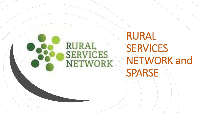## **RURAL SERVICES** NETWORK

# RURAL **SERVICES** NETWORK and SPARSE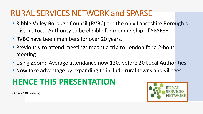## RURAL SERVICES NETWORK and SPARSE

- Ribble Valley Borough Council (RVBC) are the only Lancashire Borough or District Local Authority to be eligible for membership of SPARSE.
- RVBC have been members for over 20 years.
- Previously to attend meetings meant a trip to London for a 2-hour meeting.
- Using Zoom: Average attendance now 120, before 20 Local Authorities.
- Now take advantage by expanding to include rural towns and villages.

## **HENCE THIS PRESENTATION**



(Source RSN Website)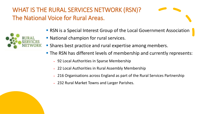WHAT IS THE RURAL SERVICES NETWORK (RSN)? The National Voice for Rural Areas.



- **RSN** is a Special Interest Group of the Local Government Association
- National champion for rural services.
- **Shares best practice and rural expertise among members.**
- **The RSN has different levels of membership and currently represents:** 
	- **92 Local Authorities in Sparse Membership**
	- 22 Local Authorities in Rural Assembly Membership
	- 216 Organisations across England as part of the Rural Services Partnership
	- 232 Rural Market Towns and Larger Parishes.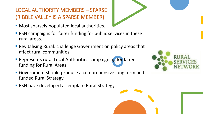#### LOCAL AUTHORITY MEMBERS – SPARSE (RIBBLE VALLEY IS A SPARSE MEMBER)

- **Most sparsely populated local authorities.**
- RSN campaigns for fairer funding for public services in these rural areas.
- Revitalising Rural: challenge Government on policy areas that affect rural communities.
- **EXE** Represents rural Local Authorities campaigning for fairer funding for Rural Areas.
- Government should produce a comprehensive long term and funded Rural Strategy.
- RSN have developed a Template Rural Strategy.

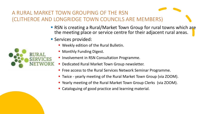#### A RURAL MARKET TOWN GROUPING OF THE RSN (CLITHEROE AND LONGRIDGE TOWN COUNCILS ARE MEMBERS)

- RSN is creating a Rural/Market Town Group for rural towns which are the meeting place or service centre for their adjacent rural areas.
- Services provided:



- **Monthly Funding Digest.**
- Involvement in RSN Consultation Programme.
- Dedicated Rural Market Town Group newsletter.
- Free access to the Rural Services Network Seminar Programme.
- Twice yearly meeting of the Rural Market Town Group (via ZOOM).
- Yearly meeting of the Rural Market Town Group Clerks (via ZOOM).
- Cataloguing of good practice and learning material.

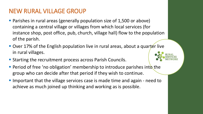#### NEW RURAL VILLAGE GROUP

- Parishes in rural areas (generally population size of 1,500 or above) containing a central village or villages from which local services (for instance shop, post office, pub, church, village hall) flow to the population of the parish.
- Over 17% of the English population live in rural areas, about a quarter live in rural villages.
- Starting the recruitment process across Parish Councils.
- **Period of free 'no obligation' membership to introduce parishes into the** group who can decide after that period if they wish to continue.
- Important that the village services case is made time and again need to achieve as much joined up thinking and working as is possible.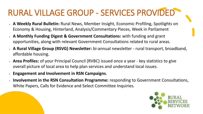# RURAL VILLAGE GROUP - SERVICES PROVIDED

- **A Weekly Rural Bulletin:** Rural News, Member Insight, Economic Profiling, Spotlights on Economy & Housing, Hinterland, Analysis/Commentary Pieces, Week in Parliament
- **A Monthly Funding Digest & Government Consultations:** with funding and grant opportunities, along with relevant Government Consultations related to rural areas.
- **A Rural Village Group (RSVG) Newsletter:** bi-annual newsletter rural transport, broadband, affordable housing.
- **Area Profiles:** of your Principal Council (RVBC) issued once a year key statistics to give overall picture of local area to help plan services and understand local issues.
- **Engagement and Involvement in RSN Campaigns**.
- **Involvement in the RSN Consultation Programme:** responding to Government Consultations, White Papers, Calls for Evidence and Select Committee Inquiries.

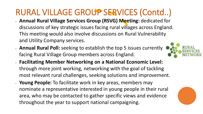# RURAL VILLAGE GROUP SERVICES (Contd..)

- **Annual Rural Village Services Group (RSVG) Meeting: dedicated for** discussions of key strategic issues facing rural villages across England. This meeting would also involve discussions on Rural Vulnerability and Utility Company services.
- . **Annual Rural Poll:** seeking to establish the top 5 issues currently facing Rural Village Group members across England.
- **Facilitating Member Networking on a National Economic Level:** through more joint working, networking with the goal of tackling most relevant rural challenges, seeking solutions and improvement.
- **Poung People:** To facilitate work in key areas, members may nominate a representative interested in young people in their rural area, who may be contacted to gather specific views and evidence throughout the year to support national campaigning.



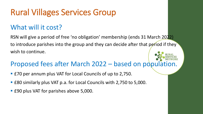## Rural Villages Services Group

### What will it cost?

RSN will give a period of free 'no obligation' membership (ends 31 March 2022) to introduce parishes into the group and they can decide after that period if they wish to continue.

### Proposed fees after March 2022 – based on population.

- **E70 per annum plus VAT for Local Councils of up to 2,750.**
- £80 similarly plus VAT p.a. for Local Councils with 2,750 to 5,000.
- **EPU PLUANGE 15 FOR 15 FOR 15 FOR 15 FOR 15 FOR 15 FOR 15 FOR 15 FOR 15 FOR 15 FOR 16 FOR 16 FOR 16 FOR 16 FOR 16 FOR 16 FOR 16 FOR 16 FOR 16 FOR 16 FOR 16 FOR 16 FOR 16 FOR 16 FOR 16 FOR 16 FOR 16 FOR 16 FOR 16 FOR 16 FOR**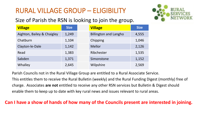### RURAL VILLAGE GROUP – ELIGIBILITY

#### Size of Parish the RSN is looking to join the group.



| <b>Village</b>             | <b>Size</b> | <b>Village</b>               | <b>Size</b> |
|----------------------------|-------------|------------------------------|-------------|
| Aighton, Bailey & Chaigley | 1,249       | <b>Billington and Langho</b> | 4,555       |
| Chatburn                   | 1,104       | Chipping                     | 1,046       |
| Clayton-le-Dale            | 1,142       | Mellor                       | 2,126       |
| Read                       | 1,383       | Ribchester                   | 1,535       |
| Sabden                     | 1,371       | Simonstone                   | 1,152       |
| Whalley                    | 2,645       | Wilpshire                    | 2,569       |

Parish Councils not in the Rural Village Group are entitled to a Rural Associate Service.

This entitles them to receive the Rural Bulletin (weekly) and the Rural Funding Digest (monthly) free of charge. Associates **are not** entitled to receive any other RSN services but Bulletin & Digest should enable them to keep up to date with key rural news and issues relevant to rural areas.

#### **Can I have a show of hands of how many of the Councils present are interested in joining.**